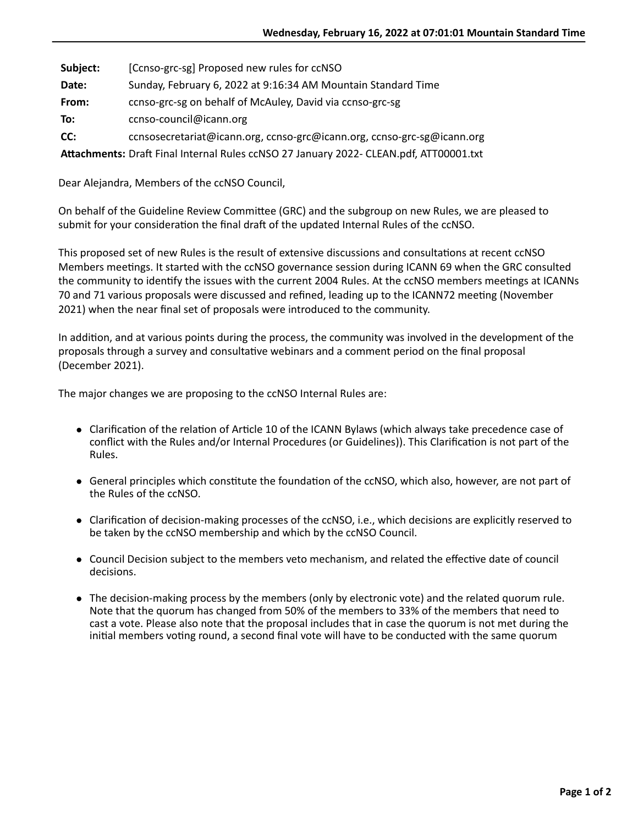**Subject:** [Ccnso-grc-sg] Proposed new rules for ccNSO **Date:** Sunday, February 6, 2022 at 9:16:34 AM Mountain Standard Time **From:** ccnso-grc-sg on behalf of McAuley, David via ccnso-grc-sg **To:** ccnso-council@icann.org **CC:** ccnsosecretariat@icann.org, ccnso-grc@icann.org, ccnso-grc-sg@icann.org

Attachments: Draft Final Internal Rules ccNSO 27 January 2022- CLEAN.pdf, ATT00001.txt

Dear Alejandra, Members of the ccNSO Council,

On behalf of the Guideline Review Committee (GRC) and the subgroup on new Rules, we are pleased to submit for your consideration the final draft of the updated Internal Rules of the ccNSO.

This proposed set of new Rules is the result of extensive discussions and consultations at recent ccNSO Members meetings. It started with the ccNSO governance session during ICANN 69 when the GRC consulted the community to identify the issues with the current 2004 Rules. At the ccNSO members meetings at ICANNs 70 and 71 various proposals were discussed and refined, leading up to the ICANN72 meeting (November 2021) when the near final set of proposals were introduced to the community.

In addition, and at various points during the process, the community was involved in the development of the proposals through a survey and consultative webinars and a comment period on the final proposal (December 2021).

The major changes we are proposing to the ccNSO Internal Rules are:

- Clarification of the relation of Article 10 of the ICANN Bylaws (which always take precedence case of conflict with the Rules and/or Internal Procedures (or Guidelines)). This Clarification is not part of the Rules.
- General principles which constitute the foundation of the ccNSO, which also, however, are not part of the Rules of the ccNSO.
- Clarification of decision-making processes of the ccNSO, i.e., which decisions are explicitly reserved to be taken by the ccNSO membership and which by the ccNSO Council.
- Council Decision subject to the members veto mechanism, and related the effective date of council decisions.
- The decision-making process by the members (only by electronic vote) and the related quorum rule. Note that the quorum has changed from 50% of the members to 33% of the members that need to cast a vote. Please also note that the proposal includes that in case the quorum is not met during the initial members voting round, a second final vote will have to be conducted with the same quorum